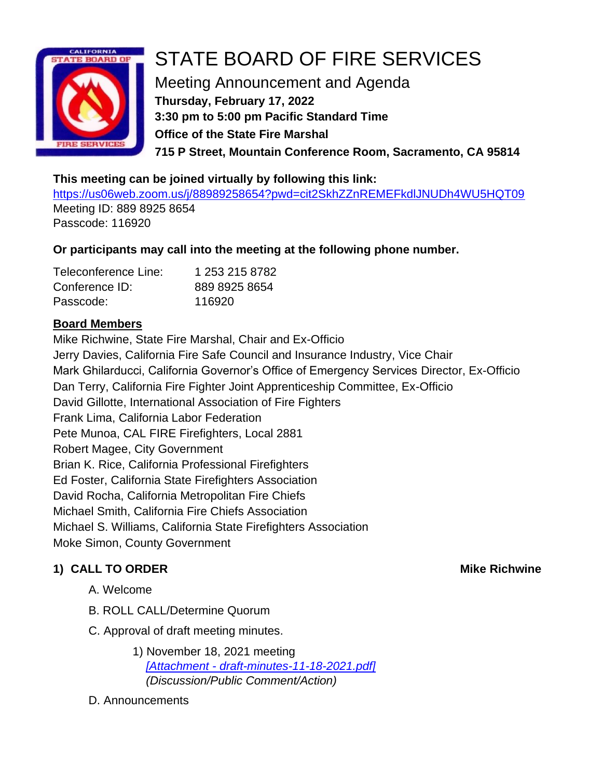

# STATE BOARD OF FIRE SERVICES

Meeting Announcement and Agenda **Thursday, February 17, 2022 3:30 pm to 5:00 pm Pacific Standard Time Office of the State Fire Marshal 715 P Street, Mountain Conference Room, Sacramento, CA 95814**

### **This meeting can be joined virtually by following this link:**

<https://us06web.zoom.us/j/88989258654?pwd=cit2SkhZZnREMEFkdlJNUDh4WU5HQT09> Meeting ID: 889 8925 8654 Passcode: 116920

# **Or participants may call into the meeting at the following phone number.**

| Teleconference Line: | 1 253 215 8782 |
|----------------------|----------------|
| Conference ID:       | 889 8925 8654  |
| Passcode:            | 116920         |

# **Board Members**

Mike Richwine, State Fire Marshal, Chair and Ex-Officio Jerry Davies, California Fire Safe Council and Insurance Industry, Vice Chair Mark Ghilarducci, California Governor's Office of Emergency Services Director, Ex-Officio Dan Terry, California Fire Fighter Joint Apprenticeship Committee, Ex-Officio David Gillotte, International Association of Fire Fighters Frank Lima, California Labor Federation Pete Munoa, CAL FIRE Firefighters, Local 2881 Robert Magee, City Government Brian K. Rice, California Professional Firefighters Ed Foster, California State Firefighters Association David Rocha, California Metropolitan Fire Chiefs Michael Smith, California Fire Chiefs Association Michael S. Williams, California State Firefighters Association Moke Simon, County Government

# **1) CALL TO ORDER Mike Richwine**

- A. Welcome
- B. ROLL CALL/Determine Quorum
- C. Approval of draft meeting minutes.
	- 1) November 18, 2021 meeting *[Attachment - [draft-minutes-11-18-2021.pdf\]](https://www.fire.ca.gov/media/e10ds4nl/draft-minutes-11-18-2021.pdf) (Discussion/Public Comment/Action)*
- D. Announcements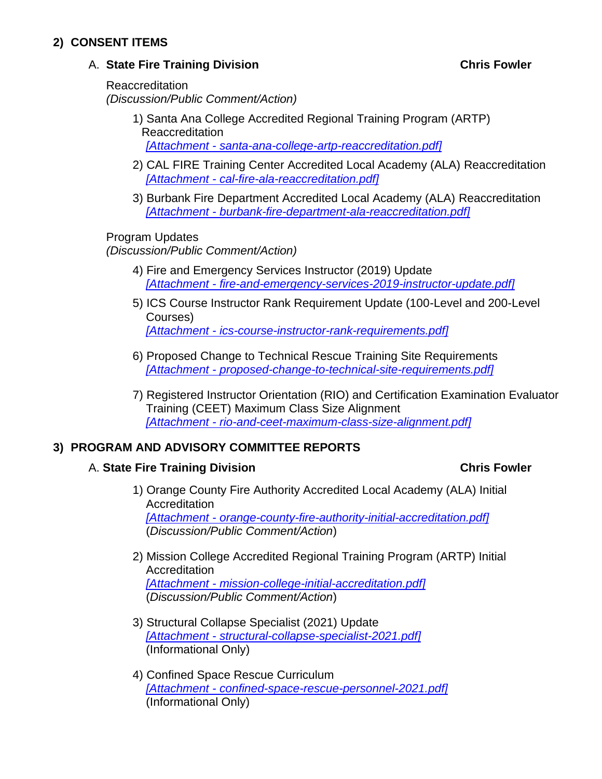## **2) CONSENT ITEMS**

### A. **State Fire Training Division Chris Fowler**

Reaccreditation *(Discussion/Public Comment/Action)*

- 1) Santa Ana College Accredited Regional Training Program (ARTP) Reaccreditation *[Attachment - [santa-ana-college-artp-reaccreditation.pdf\]](https://osfm.fire.ca.gov/media/o5ljmazc/santa-ana-college-artp-reaccreditation.pdf)*
- 2) CAL FIRE Training Center Accredited Local Academy (ALA) Reaccreditation *[Attachment - [cal-fire-ala-reaccreditation.pdf\]](https://osfm.fire.ca.gov/media/1b5clvv3/cal-fire-ala-reaccreditation.pdf)*
- 3) Burbank Fire Department Accredited Local Academy (ALA) Reaccreditation *[Attachment - [burbank-fire-department-ala-reaccreditation.pdf\]](https://osfm.fire.ca.gov/media/f20pvgte/burbank-fire-department-ala-reaccreditation.pdf)*

### Program Updates

*(Discussion/Public Comment/Action)*

- 4) Fire and Emergency Services Instructor (2019) Update *[Attachment - [fire-and-emergency-services-2019-instructor-update.pdf\]](https://osfm.fire.ca.gov/media/qlhothxw/fire-and-emergency-services-2019-instructor-update.pdf)*
- 5) ICS Course Instructor Rank Requirement Update (100-Level and 200-Level Courses) *[Attachment - [ics-course-instructor-rank-requirements.pdf\]](https://osfm.fire.ca.gov/media/ocffkt0z/ics-course-instructor-rank-requirements.pdf)*
- 6) Proposed Change to Technical Rescue Training Site Requirements *[Attachment - [proposed-change-to-technical-site-requirements.pdf\]](https://osfm.fire.ca.gov/media/ikyh5a1z/proposed-change-to-technical-site-requirements.pdf)*
- 7) Registered Instructor Orientation (RIO) and Certification Examination Evaluator Training (CEET) Maximum Class Size Alignment *[Attachment - [rio-and-ceet-maximum-class-size-alignment.pdf\]](https://osfm.fire.ca.gov/media/12mhuzgr/rio-and-ceet-maximum-class-size-alignment.pdf)*

### **3) PROGRAM AND ADVISORY COMMITTEE REPORTS**

### A. **State Fire Training Division Chris Fowler**

- 1) Orange County Fire Authority Accredited Local Academy (ALA) Initial **Accreditation** *[Attachment - [orange-county-fire-authority-initial-accreditation.pdf\]](https://osfm.fire.ca.gov/media/omqafsx0/orange-county-fire-authority-initial-accreditation.pdf)* (*Discussion/Public Comment/Action*)
- 2) Mission College Accredited Regional Training Program (ARTP) Initial **Accreditation** *[Attachment - [mission-college-initial-accreditation.pdf\]](https://osfm.fire.ca.gov/media/z3qkl1nv/mission-college-initial-accreditation.pdf)* (*Discussion/Public Comment/Action*)
- 3) Structural Collapse Specialist (2021) Update *[Attachment - [structural-collapse-specialist-2021.pdf\]](https://osfm.fire.ca.gov/media/fg0b5pdd/structural-collapse-specialist-2021.pdf)* (Informational Only)
- 4) Confined Space Rescue Curriculum *[Attachment - [confined-space-rescue-personnel-2021.pdf\]](https://osfm.fire.ca.gov/media/qbrduigr/confined-space-rescue-personnel-2021.pdf)* (Informational Only)